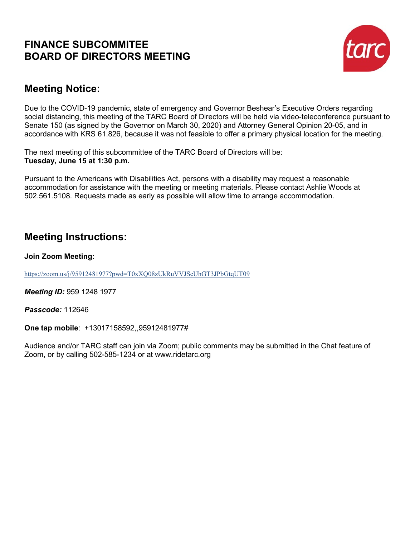# **FINANCE SUBCOMMITEE BOARD OF DIRECTORS MEETING**



# **Meeting Notice:**

Due to the COVID-19 pandemic, state of emergency and Governor Beshear's Executive Orders regarding social distancing, this meeting of the TARC Board of Directors will be held via video-teleconference pursuant to Senate 150 (as signed by the Governor on March 30, 2020) and Attorney General Opinion 20-05, and in accordance with KRS 61.826, because it was not feasible to offer a primary physical location for the meeting.

The next meeting of this subcommittee of the TARC Board of Directors will be: **Tuesday, June 15 at 1:30 p.m.**

Pursuant to the Americans with Disabilities Act, persons with a disability may request a reasonable accommodation for assistance with the meeting or meeting materials. Please contact Ashlie Woods at 502.561.5108. Requests made as early as possible will allow time to arrange accommodation.

# **Meeting Instructions:**

**Join Zoom Meeting:**

<https://zoom.us/j/95912481977?pwd=T0xXQ08zUkRuVVJScUhGT3JPbGtqUT09>

*Meeting ID:* 959 1248 1977

*Passcode:* 112646

**One tap mobile**: +13017158592,,95912481977#

Audience and/or TARC staff can join via Zoom; public comments may be submitted in the Chat feature of Zoom, or by calling 502-585-1234 or at www.ridetarc.org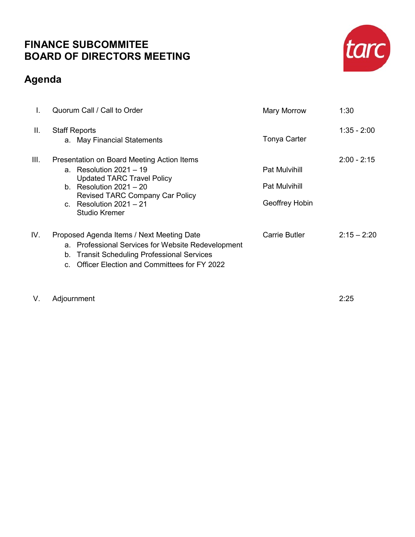# **FINANCE SUBCOMMITEE BOARD OF DIRECTORS MEETING**

# **Agenda**



V. Adjournment 2:25

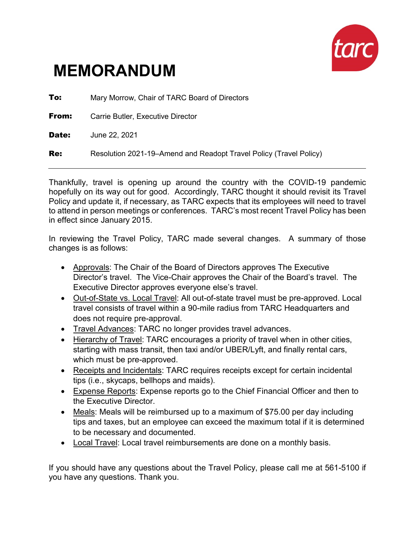

# **MEMORANDUM**

**To:** Mary Morrow, Chair of TARC Board of Directors **From:** Carrie Butler, Executive Director **Date:** June 22, 2021 **Re:** Resolution 2021-19–Amend and Readopt Travel Policy (Travel Policy)

Thankfully, travel is opening up around the country with the COVID-19 pandemic hopefully on its way out for good. Accordingly, TARC thought it should revisit its Travel Policy and update it, if necessary, as TARC expects that its employees will need to travel to attend in person meetings or conferences. TARC's most recent Travel Policy has been in effect since January 2015.

In reviewing the Travel Policy, TARC made several changes. A summary of those changes is as follows:

- Approvals: The Chair of the Board of Directors approves The Executive Director's travel. The Vice-Chair approves the Chair of the Board's travel. The Executive Director approves everyone else's travel.
- Out-of-State vs. Local Travel: All out-of-state travel must be pre-approved. Local travel consists of travel within a 90-mile radius from TARC Headquarters and does not require pre-approval.
- Travel Advances: TARC no longer provides travel advances.
- Hierarchy of Travel: TARC encourages a priority of travel when in other cities, starting with mass transit, then taxi and/or UBER/Lyft, and finally rental cars, which must be pre-approved.
- Receipts and Incidentals: TARC requires receipts except for certain incidental tips (i.e., skycaps, bellhops and maids).
- Expense Reports: Expense reports go to the Chief Financial Officer and then to the Executive Director.
- Meals: Meals will be reimbursed up to a maximum of \$75.00 per day including tips and taxes, but an employee can exceed the maximum total if it is determined to be necessary and documented.
- Local Travel: Local travel reimbursements are done on a monthly basis.

If you should have any questions about the Travel Policy, please call me at 561-5100 if you have any questions. Thank you.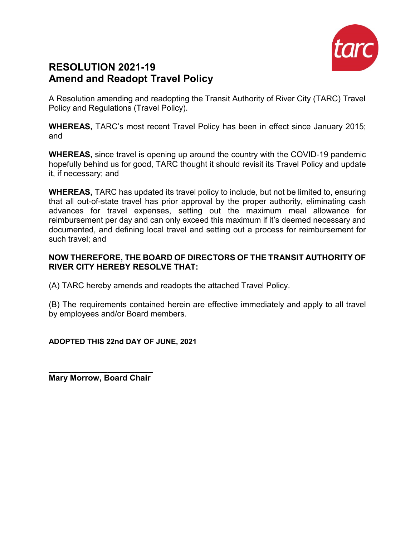

# **RESOLUTION 2021-19 Amend and Readopt Travel Policy**

A Resolution amending and readopting the Transit Authority of River City (TARC) Travel Policy and Regulations (Travel Policy).

**WHEREAS,** TARC's most recent Travel Policy has been in effect since January 2015; and

**WHEREAS,** since travel is opening up around the country with the COVID-19 pandemic hopefully behind us for good, TARC thought it should revisit its Travel Policy and update it, if necessary; and

**WHEREAS,** TARC has updated its travel policy to include, but not be limited to, ensuring that all out-of-state travel has prior approval by the proper authority, eliminating cash advances for travel expenses, setting out the maximum meal allowance for reimbursement per day and can only exceed this maximum if it's deemed necessary and documented, and defining local travel and setting out a process for reimbursement for such travel; and

## **NOW THEREFORE, THE BOARD OF DIRECTORS OF THE TRANSIT AUTHORITY OF RIVER CITY HEREBY RESOLVE THAT:**

(A) TARC hereby amends and readopts the attached Travel Policy.

(B) The requirements contained herein are effective immediately and apply to all travel by employees and/or Board members.

## **ADOPTED THIS 22nd DAY OF JUNE, 2021**

**\_\_\_\_\_\_\_\_\_\_\_\_\_\_\_\_\_\_\_\_\_\_\_ Mary Morrow, Board Chair**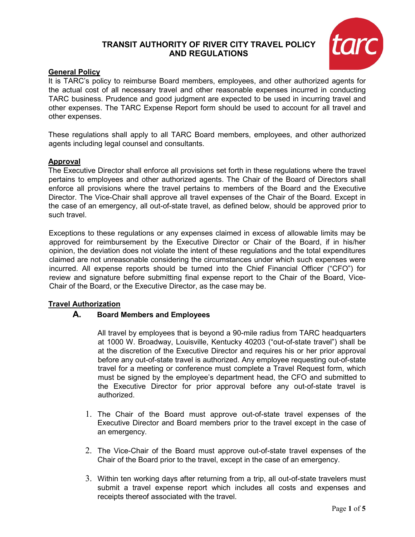## **TRANSIT AUTHORITY OF RIVER CITY TRAVEL POLICY AND REGULATIONS**



#### **General Policy**

It is TARC's policy to reimburse Board members, employees, and other authorized agents for the actual cost of all necessary travel and other reasonable expenses incurred in conducting TARC business. Prudence and good judgment are expected to be used in incurring travel and other expenses. The TARC Expense Report form should be used to account for all travel and other expenses.

These regulations shall apply to all TARC Board members, employees, and other authorized agents including legal counsel and consultants.

#### **Approval**

The Executive Director shall enforce all provisions set forth in these regulations where the travel pertains to employees and other authorized agents. The Chair of the Board of Directors shall enforce all provisions where the travel pertains to members of the Board and the Executive Director. The Vice-Chair shall approve all travel expenses of the Chair of the Board. Except in the case of an emergency, all out-of-state travel, as defined below, should be approved prior to such travel.

Exceptions to these regulations or any expenses claimed in excess of allowable limits may be approved for reimbursement by the Executive Director or Chair of the Board, if in his/her opinion, the deviation does not violate the intent of these regulations and the total expenditures claimed are not unreasonable considering the circumstances under which such expenses were incurred. All expense reports should be turned into the Chief Financial Officer ("CFO") for review and signature before submitting final expense report to the Chair of the Board, Vice-Chair of the Board, or the Executive Director, as the case may be.

#### **Travel Authorization**

#### **A. Board Members and Employees**

All travel by employees that is beyond a 90-mile radius from TARC headquarters at 1000 W. Broadway, Louisville, Kentucky 40203 ("out-of-state travel") shall be at the discretion of the Executive Director and requires his or her prior approval before any out-of-state travel is authorized. Any employee requesting out-of-state travel for a meeting or conference must complete a Travel Request form, which must be signed by the employee's department head, the CFO and submitted to the Executive Director for prior approval before any out-of-state travel is authorized.

- 1. The Chair of the Board must approve out-of-state travel expenses of the Executive Director and Board members prior to the travel except in the case of an emergency.
- 2. The Vice-Chair of the Board must approve out-of-state travel expenses of the Chair of the Board prior to the travel, except in the case of an emergency.
- 3. Within ten working days after returning from a trip, all out-of-state travelers must submit a travel expense report which includes all costs and expenses and receipts thereof associated with the travel.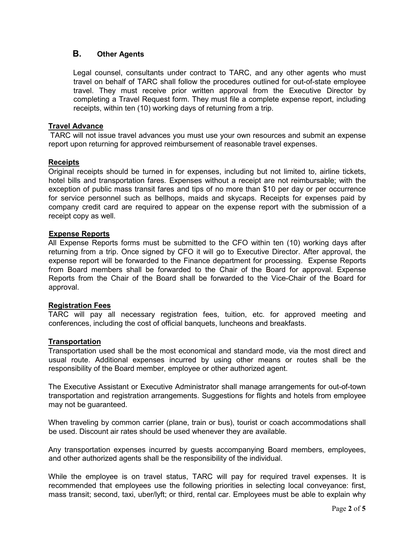### **B. Other Agents**

Legal counsel, consultants under contract to TARC, and any other agents who must travel on behalf of TARC shall follow the procedures outlined for out-of-state employee travel. They must receive prior written approval from the Executive Director by completing a Travel Request form. They must file a complete expense report, including receipts, within ten (10) working days of returning from a trip.

#### **Travel Advance**

TARC will not issue travel advances you must use your own resources and submit an expense report upon returning for approved reimbursement of reasonable travel expenses.

#### **Receipts**

Original receipts should be turned in for expenses, including but not limited to, airline tickets, hotel bills and transportation fares. Expenses without a receipt are not reimbursable; with the exception of public mass transit fares and tips of no more than \$10 per day or per occurrence for service personnel such as bellhops, maids and skycaps. Receipts for expenses paid by company credit card are required to appear on the expense report with the submission of a receipt copy as well.

#### **Expense Reports**

All Expense Reports forms must be submitted to the CFO within ten (10) working days after returning from a trip. Once signed by CFO it will go to Executive Director. After approval, the expense report will be forwarded to the Finance department for processing. Expense Reports from Board members shall be forwarded to the Chair of the Board for approval. Expense Reports from the Chair of the Board shall be forwarded to the Vice-Chair of the Board for approval.

#### **Registration Fees**

TARC will pay all necessary registration fees, tuition, etc. for approved meeting and conferences, including the cost of official banquets, luncheons and breakfasts.

#### **Transportation**

Transportation used shall be the most economical and standard mode, via the most direct and usual route. Additional expenses incurred by using other means or routes shall be the responsibility of the Board member, employee or other authorized agent.

The Executive Assistant or Executive Administrator shall manage arrangements for out-of-town transportation and registration arrangements. Suggestions for flights and hotels from employee may not be guaranteed.

When traveling by common carrier (plane, train or bus), tourist or coach accommodations shall be used. Discount air rates should be used whenever they are available.

Any transportation expenses incurred by guests accompanying Board members, employees, and other authorized agents shall be the responsibility of the individual.

While the employee is on travel status, TARC will pay for required travel expenses. It is recommended that employees use the following priorities in selecting local conveyance: first, mass transit; second, taxi, uber/lyft; or third, rental car. Employees must be able to explain why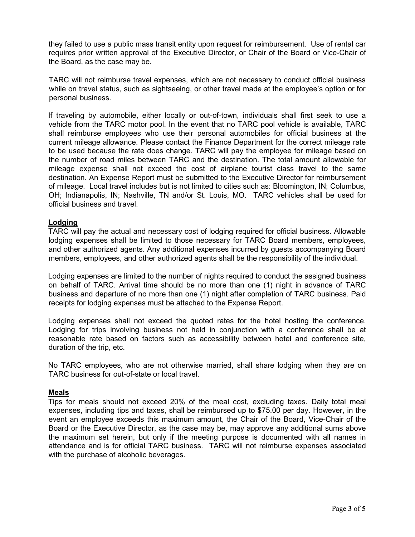they failed to use a public mass transit entity upon request for reimbursement. Use of rental car requires prior written approval of the Executive Director, or Chair of the Board or Vice-Chair of the Board, as the case may be.

TARC will not reimburse travel expenses, which are not necessary to conduct official business while on travel status, such as sightseeing, or other travel made at the employee's option or for personal business.

If traveling by automobile, either locally or out-of-town, individuals shall first seek to use a vehicle from the TARC motor pool. In the event that no TARC pool vehicle is available, TARC shall reimburse employees who use their personal automobiles for official business at the current mileage allowance. Please contact the Finance Department for the correct mileage rate to be used because the rate does change. TARC will pay the employee for mileage based on the number of road miles between TARC and the destination. The total amount allowable for mileage expense shall not exceed the cost of airplane tourist class travel to the same destination. An Expense Report must be submitted to the Executive Director for reimbursement of mileage. Local travel includes but is not limited to cities such as: Bloomington, IN; Columbus, OH; Indianapolis, IN; Nashville, TN and/or St. Louis, MO. TARC vehicles shall be used for official business and travel.

#### **Lodging**

TARC will pay the actual and necessary cost of lodging required for official business. Allowable lodging expenses shall be limited to those necessary for TARC Board members, employees, and other authorized agents. Any additional expenses incurred by guests accompanying Board members, employees, and other authorized agents shall be the responsibility of the individual.

Lodging expenses are limited to the number of nights required to conduct the assigned business on behalf of TARC. Arrival time should be no more than one (1) night in advance of TARC business and departure of no more than one (1) night after completion of TARC business. Paid receipts for lodging expenses must be attached to the Expense Report.

Lodging expenses shall not exceed the quoted rates for the hotel hosting the conference. Lodging for trips involving business not held in conjunction with a conference shall be at reasonable rate based on factors such as accessibility between hotel and conference site, duration of the trip, etc.

No TARC employees, who are not otherwise married, shall share lodging when they are on TARC business for out-of-state or local travel.

#### **Meals**

Tips for meals should not exceed 20% of the meal cost, excluding taxes. Daily total meal expenses, including tips and taxes, shall be reimbursed up to \$75.00 per day. However, in the event an employee exceeds this maximum amount, the Chair of the Board, Vice-Chair of the Board or the Executive Director, as the case may be, may approve any additional sums above the maximum set herein, but only if the meeting purpose is documented with all names in attendance and is for official TARC business. TARC will not reimburse expenses associated with the purchase of alcoholic beverages.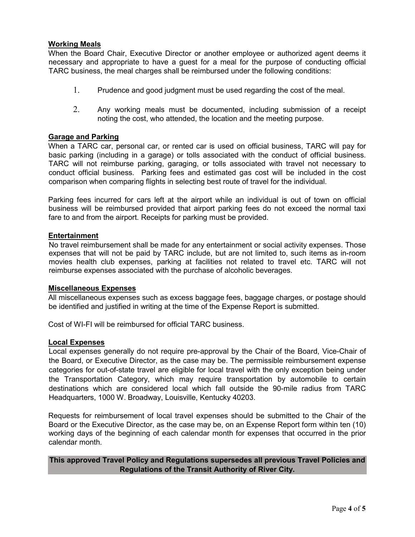#### **Working Meals**

When the Board Chair, Executive Director or another employee or authorized agent deems it necessary and appropriate to have a guest for a meal for the purpose of conducting official TARC business, the meal charges shall be reimbursed under the following conditions:

- 1. Prudence and good judgment must be used regarding the cost of the meal.
- 2. Any working meals must be documented, including submission of a receipt noting the cost, who attended, the location and the meeting purpose.

#### **Garage and Parking**

When a TARC car, personal car, or rented car is used on official business, TARC will pay for basic parking (including in a garage) or tolls associated with the conduct of official business. TARC will not reimburse parking, garaging, or tolls associated with travel not necessary to conduct official business. Parking fees and estimated gas cost will be included in the cost comparison when comparing flights in selecting best route of travel for the individual.

Parking fees incurred for cars left at the airport while an individual is out of town on official business will be reimbursed provided that airport parking fees do not exceed the normal taxi fare to and from the airport. Receipts for parking must be provided.

#### **Entertainment**

No travel reimbursement shall be made for any entertainment or social activity expenses. Those expenses that will not be paid by TARC include, but are not limited to, such items as in-room movies health club expenses, parking at facilities not related to travel etc. TARC will not reimburse expenses associated with the purchase of alcoholic beverages.

#### **Miscellaneous Expenses**

All miscellaneous expenses such as excess baggage fees, baggage charges, or postage should be identified and justified in writing at the time of the Expense Report is submitted.

Cost of WI-FI will be reimbursed for official TARC business.

#### **Local Expenses**

Local expenses generally do not require pre-approval by the Chair of the Board, Vice-Chair of the Board, or Executive Director, as the case may be. The permissible reimbursement expense categories for out-of-state travel are eligible for local travel with the only exception being under the Transportation Category, which may require transportation by automobile to certain destinations which are considered local which fall outside the 90-mile radius from TARC Headquarters, 1000 W. Broadway, Louisville, Kentucky 40203.

Requests for reimbursement of local travel expenses should be submitted to the Chair of the Board or the Executive Director, as the case may be, on an Expense Report form within ten (10) working days of the beginning of each calendar month for expenses that occurred in the prior calendar month.

#### **This approved Travel Policy and Regulations supersedes all previous Travel Policies and Regulations of the Transit Authority of River City.**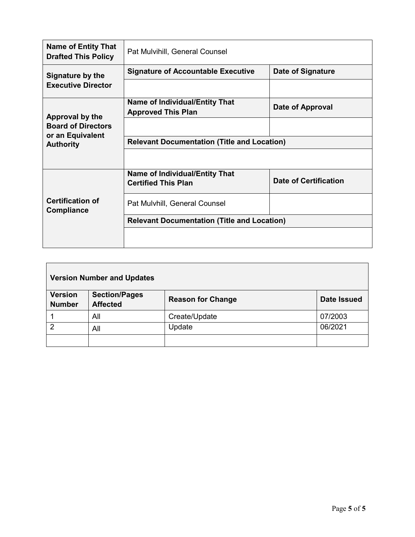| <b>Name of Entity That</b><br><b>Drafted This Policy</b>                             | Pat Mulvihill, General Counsel                                      |                              |
|--------------------------------------------------------------------------------------|---------------------------------------------------------------------|------------------------------|
| Signature by the<br><b>Executive Director</b>                                        | <b>Signature of Accountable Executive</b>                           | <b>Date of Signature</b>     |
|                                                                                      |                                                                     |                              |
| Approval by the<br><b>Board of Directors</b><br>or an Equivalent<br><b>Authority</b> | <b>Name of Individual/Entity That</b><br><b>Approved This Plan</b>  | Date of Approval             |
|                                                                                      |                                                                     |                              |
|                                                                                      | <b>Relevant Documentation (Title and Location)</b>                  |                              |
|                                                                                      |                                                                     |                              |
| <b>Certification of</b><br><b>Compliance</b>                                         | <b>Name of Individual/Entity That</b><br><b>Certified This Plan</b> | <b>Date of Certification</b> |
|                                                                                      | Pat Mulvhill, General Counsel                                       |                              |
|                                                                                      | <b>Relevant Documentation (Title and Location)</b>                  |                              |
|                                                                                      |                                                                     |                              |

| <b>Version Number and Updates</b> |                                         |                          |                    |
|-----------------------------------|-----------------------------------------|--------------------------|--------------------|
| <b>Version</b><br><b>Number</b>   | <b>Section/Pages</b><br><b>Affected</b> | <b>Reason for Change</b> | <b>Date Issued</b> |
|                                   | All                                     | Create/Update            | 07/2003            |
| 2                                 | All                                     | Update                   | 06/2021            |
|                                   |                                         |                          |                    |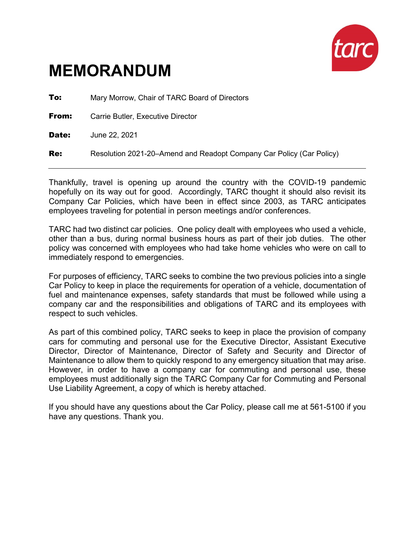

# **MEMORANDUM**

| To:   | Mary Morrow, Chair of TARC Board of Directors                        |  |
|-------|----------------------------------------------------------------------|--|
| From: | Carrie Butler, Executive Director                                    |  |
| Date: | June 22, 2021                                                        |  |
| Re:   | Resolution 2021-20–Amend and Readopt Company Car Policy (Car Policy) |  |

Thankfully, travel is opening up around the country with the COVID-19 pandemic hopefully on its way out for good. Accordingly, TARC thought it should also revisit its Company Car Policies, which have been in effect since 2003, as TARC anticipates employees traveling for potential in person meetings and/or conferences.

TARC had two distinct car policies. One policy dealt with employees who used a vehicle, other than a bus, during normal business hours as part of their job duties. The other policy was concerned with employees who had take home vehicles who were on call to immediately respond to emergencies.

For purposes of efficiency, TARC seeks to combine the two previous policies into a single Car Policy to keep in place the requirements for operation of a vehicle, documentation of fuel and maintenance expenses, safety standards that must be followed while using a company car and the responsibilities and obligations of TARC and its employees with respect to such vehicles.

As part of this combined policy, TARC seeks to keep in place the provision of company cars for commuting and personal use for the Executive Director, Assistant Executive Director, Director of Maintenance, Director of Safety and Security and Director of Maintenance to allow them to quickly respond to any emergency situation that may arise. However, in order to have a company car for commuting and personal use, these employees must additionally sign the TARC Company Car for Commuting and Personal Use Liability Agreement, a copy of which is hereby attached.

If you should have any questions about the Car Policy, please call me at 561-5100 if you have any questions. Thank you.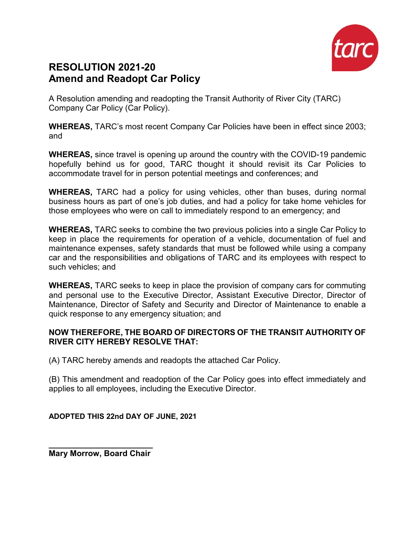

# **RESOLUTION 2021-20 Amend and Readopt Car Policy**

A Resolution amending and readopting the Transit Authority of River City (TARC) Company Car Policy (Car Policy).

**WHEREAS,** TARC's most recent Company Car Policies have been in effect since 2003; and

**WHEREAS,** since travel is opening up around the country with the COVID-19 pandemic hopefully behind us for good, TARC thought it should revisit its Car Policies to accommodate travel for in person potential meetings and conferences; and

**WHEREAS,** TARC had a policy for using vehicles, other than buses, during normal business hours as part of one's job duties, and had a policy for take home vehicles for those employees who were on call to immediately respond to an emergency; and

**WHEREAS,** TARC seeks to combine the two previous policies into a single Car Policy to keep in place the requirements for operation of a vehicle, documentation of fuel and maintenance expenses, safety standards that must be followed while using a company car and the responsibilities and obligations of TARC and its employees with respect to such vehicles; and

**WHEREAS,** TARC seeks to keep in place the provision of company cars for commuting and personal use to the Executive Director, Assistant Executive Director, Director of Maintenance, Director of Safety and Security and Director of Maintenance to enable a quick response to any emergency situation; and

## **NOW THEREFORE, THE BOARD OF DIRECTORS OF THE TRANSIT AUTHORITY OF RIVER CITY HEREBY RESOLVE THAT:**

(A) TARC hereby amends and readopts the attached Car Policy.

(B) This amendment and readoption of the Car Policy goes into effect immediately and applies to all employees, including the Executive Director.

**ADOPTED THIS 22nd DAY OF JUNE, 2021**

**\_\_\_\_\_\_\_\_\_\_\_\_\_\_\_\_\_\_\_\_\_\_\_ Mary Morrow, Board Chair**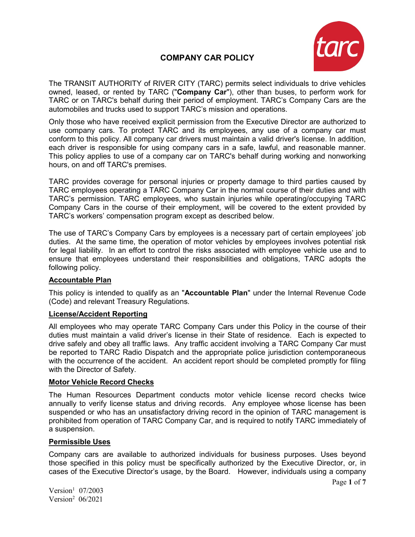## **COMPANY CAR POLICY**



The TRANSIT AUTHORITY of RIVER CITY (TARC) permits select individuals to drive vehicles owned, leased, or rented by TARC ("**Company Car**"), other than buses, to perform work for TARC or on TARC's behalf during their period of employment. TARC's Company Cars are the automobiles and trucks used to support TARC's mission and operations.

Only those who have received explicit permission from the Executive Director are authorized to use company cars. To protect TARC and its employees, any use of a company car must conform to this policy. All company car drivers must maintain a valid driver's license. In addition, each driver is responsible for using company cars in a safe, lawful, and reasonable manner. This policy applies to use of a company car on TARC's behalf during working and nonworking hours, on and off TARC's premises.

TARC provides coverage for personal injuries or property damage to third parties caused by TARC employees operating a TARC Company Car in the normal course of their duties and with TARC's permission. TARC employees, who sustain injuries while operating/occupying TARC Company Cars in the course of their employment, will be covered to the extent provided by TARC's workers' compensation program except as described below.

The use of TARC's Company Cars by employees is a necessary part of certain employees' job duties. At the same time, the operation of motor vehicles by employees involves potential risk for legal liability. In an effort to control the risks associated with employee vehicle use and to ensure that employees understand their responsibilities and obligations, TARC adopts the following policy.

#### **Accountable Plan**

This policy is intended to qualify as an "**Accountable Plan**" under the Internal Revenue Code (Code) and relevant Treasury Regulations.

#### **License/Accident Reporting**

All employees who may operate TARC Company Cars under this Policy in the course of their duties must maintain a valid driver's license in their State of residence. Each is expected to drive safely and obey all traffic laws. Any traffic accident involving a TARC Company Car must be reported to TARC Radio Dispatch and the appropriate police jurisdiction contemporaneous with the occurrence of the accident. An accident report should be completed promptly for filing with the Director of Safety.

#### **Motor Vehicle Record Checks**

The Human Resources Department conducts motor vehicle license record checks twice annually to verify license status and driving records. Any employee whose license has been suspended or who has an unsatisfactory driving record in the opinion of TARC management is prohibited from operation of TARC Company Car, and is required to notify TARC immediately of a suspension.

#### **Permissible Uses**

Company cars are available to authorized individuals for business purposes. Uses beyond those specified in this policy must be specifically authorized by the Executive Director, or, in cases of the Executive Director's usage, by the Board. However, individuals using a company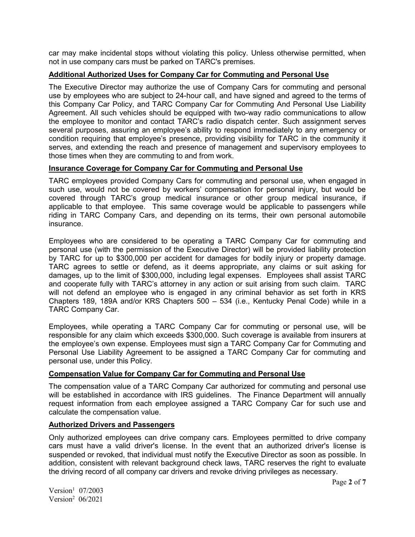car may make incidental stops without violating this policy. Unless otherwise permitted, when not in use company cars must be parked on TARC's premises.

### **Additional Authorized Uses for Company Car for Commuting and Personal Use**

The Executive Director may authorize the use of Company Cars for commuting and personal use by employees who are subject to 24-hour call, and have signed and agreed to the terms of this Company Car Policy, and TARC Company Car for Commuting And Personal Use Liability Agreement. All such vehicles should be equipped with two-way radio communications to allow the employee to monitor and contact TARC's radio dispatch center. Such assignment serves several purposes, assuring an employee's ability to respond immediately to any emergency or condition requiring that employee's presence, providing visibility for TARC in the community it serves, and extending the reach and presence of management and supervisory employees to those times when they are commuting to and from work.

#### **Insurance Coverage for Company Car for Commuting and Personal Use**

TARC employees provided Company Cars for commuting and personal use, when engaged in such use, would not be covered by workers' compensation for personal injury, but would be covered through TARC's group medical insurance or other group medical insurance, if applicable to that employee. This same coverage would be applicable to passengers while riding in TARC Company Cars, and depending on its terms, their own personal automobile insurance.

Employees who are considered to be operating a TARC Company Car for commuting and personal use (with the permission of the Executive Director) will be provided liability protection by TARC for up to \$300,000 per accident for damages for bodily injury or property damage. TARC agrees to settle or defend, as it deems appropriate, any claims or suit asking for damages, up to the limit of \$300,000, including legal expenses. Employees shall assist TARC and cooperate fully with TARC's attorney in any action or suit arising from such claim. TARC will not defend an employee who is engaged in any criminal behavior as set forth in KRS Chapters 189, 189A and/or KRS Chapters 500 – 534 (i.e., Kentucky Penal Code) while in a TARC Company Car.

Employees, while operating a TARC Company Car for commuting or personal use, will be responsible for any claim which exceeds \$300,000. Such coverage is available from insurers at the employee's own expense. Employees must sign a TARC Company Car for Commuting and Personal Use Liability Agreement to be assigned a TARC Company Car for commuting and personal use, under this Policy.

#### **Compensation Value for Company Car for Commuting and Personal Use**

The compensation value of a TARC Company Car authorized for commuting and personal use will be established in accordance with IRS guidelines. The Finance Department will annually request information from each employee assigned a TARC Company Car for such use and calculate the compensation value.

#### **Authorized Drivers and Passengers**

Only authorized employees can drive company cars. Employees permitted to drive company cars must have a valid driver's license. In the event that an authorized driver's license is suspended or revoked, that individual must notify the Executive Director as soon as possible. In addition, consistent with relevant background check laws, TARC reserves the right to evaluate the driving record of all company car drivers and revoke driving privileges as necessary.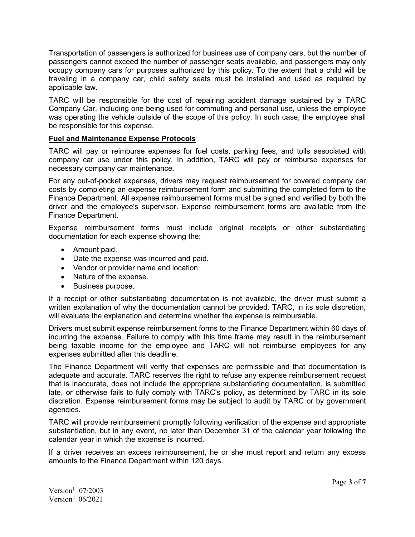Transportation of passengers is authorized for business use of company cars, but the number of passengers cannot exceed the number of passenger seats available, and passengers may only occupy company cars for purposes authorized by this policy. To the extent that a child will be traveling in a company car, child safety seats must be installed and used as required by applicable law.

TARC will be responsible for the cost of repairing accident damage sustained by a TARC Company Car, including one being used for commuting and personal use, unless the employee was operating the vehicle outside of the scope of this policy. In such case, the employee shall be responsible for this expense.

#### **Fuel and Maintenance Expense Protocols**

TARC will pay or reimburse expenses for fuel costs, parking fees, and tolls associated with company car use under this policy. In addition, TARC will pay or reimburse expenses for necessary company car maintenance.

For any out-of-pocket expenses, drivers may request reimbursement for covered company car costs by completing an expense reimbursement form and submitting the completed form to the Finance Department. All expense reimbursement forms must be signed and verified by both the driver and the employee's supervisor. Expense reimbursement forms are available from the Finance Department.

Expense reimbursement forms must include original receipts or other substantiating documentation for each expense showing the:

- Amount paid.
- Date the expense was incurred and paid.
- Vendor or provider name and location.
- Nature of the expense.
- Business purpose.

If a receipt or other substantiating documentation is not available, the driver must submit a written explanation of why the documentation cannot be provided. TARC, in its sole discretion, will evaluate the explanation and determine whether the expense is reimbursable.

Drivers must submit expense reimbursement forms to the Finance Department within 60 days of incurring the expense. Failure to comply with this time frame may result in the reimbursement being taxable income for the employee and TARC will not reimburse employees for any expenses submitted after this deadline.

The Finance Department will verify that expenses are permissible and that documentation is adequate and accurate. TARC reserves the right to refuse any expense reimbursement request that is inaccurate, does not include the appropriate substantiating documentation, is submitted late, or otherwise fails to fully comply with TARC's policy, as determined by TARC in its sole discretion. Expense reimbursement forms may be subject to audit by TARC or by government agencies.

TARC will provide reimbursement promptly following verification of the expense and appropriate substantiation, but in any event, no later than December 31 of the calendar year following the calendar year in which the expense is incurred.

If a driver receives an excess reimbursement, he or she must report and return any excess amounts to the Finance Department within 120 days.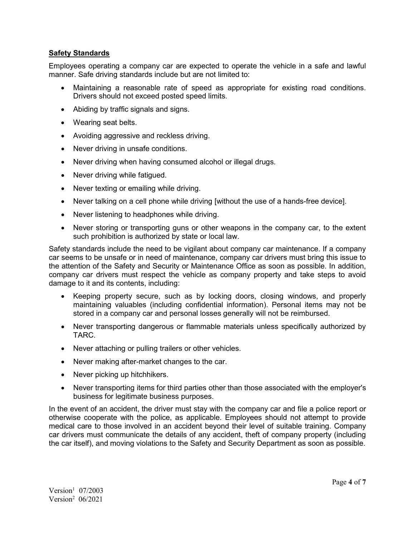#### **Safety Standards**

Employees operating a company car are expected to operate the vehicle in a safe and lawful manner. Safe driving standards include but are not limited to:

- Maintaining a reasonable rate of speed as appropriate for existing road conditions. Drivers should not exceed posted speed limits.
- Abiding by traffic signals and signs.
- Wearing seat belts.
- Avoiding aggressive and reckless driving.
- Never driving in unsafe conditions.
- Never driving when having consumed alcohol or illegal drugs.
- Never driving while fatigued.
- Never texting or emailing while driving.
- Never talking on a cell phone while driving [without the use of a hands-free device].
- Never listening to headphones while driving.
- Never storing or transporting guns or other weapons in the company car, to the extent such prohibition is authorized by state or local law.

Safety standards include the need to be vigilant about company car maintenance. If a company car seems to be unsafe or in need of maintenance, company car drivers must bring this issue to the attention of the Safety and Security or Maintenance Office as soon as possible. In addition, company car drivers must respect the vehicle as company property and take steps to avoid damage to it and its contents, including:

- Keeping property secure, such as by locking doors, closing windows, and properly maintaining valuables (including confidential information). Personal items may not be stored in a company car and personal losses generally will not be reimbursed.
- Never transporting dangerous or flammable materials unless specifically authorized by TARC.
- Never attaching or pulling trailers or other vehicles.
- Never making after-market changes to the car.
- Never picking up hitchhikers.
- Never transporting items for third parties other than those associated with the employer's business for legitimate business purposes.

In the event of an accident, the driver must stay with the company car and file a police report or otherwise cooperate with the police, as applicable. Employees should not attempt to provide medical care to those involved in an accident beyond their level of suitable training. Company car drivers must communicate the details of any accident, theft of company property (including the car itself), and moving violations to the Safety and Security Department as soon as possible.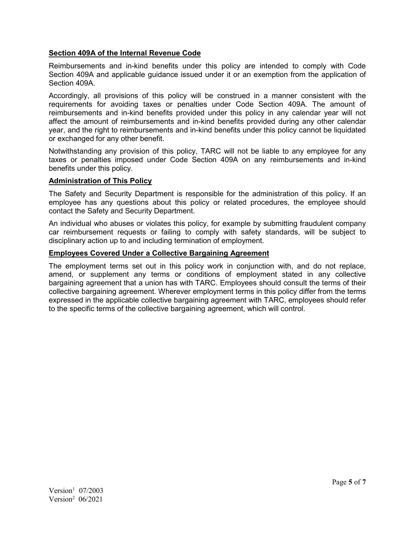#### **Section 409A of the Internal Revenue Code**

Reimbursements and in-kind benefits under this policy are intended to comply with Code Section 409A and applicable guidance issued under it or an exemption from the application of Section 409A.

Accordingly, all provisions of this policy will be construed in a manner consistent with the requirements for avoiding taxes or penalties under Code Section 409A. The amount of reimbursements and in-kind benefits provided under this policy in any calendar year will not affect the amount of reimbursements and in-kind benefits provided during any other calendar year, and the right to reimbursements and in-kind benefits under this policy cannot be liquidated or exchanged for any other benefit.

Notwithstanding any provision of this policy, TARC will not be liable to any employee for any taxes or penalties imposed under Code Section 409A on any reimbursements and in-kind benefits under this policy.

#### **Administration of This Policy**

The Safety and Security Department is responsible for the administration of this policy. If an employee has any questions about this policy or related procedures, the employee should contact the Safety and Security Department.

An individual who abuses or violates this policy, for example by submitting fraudulent company car reimbursement requests or failing to comply with safety standards, will be subject to disciplinary action up to and including termination of employment.

#### **Employees Covered Under a Collective Bargaining Agreement**

The employment terms set out in this policy work in conjunction with, and do not replace, amend, or supplement any terms or conditions of employment stated in any collective bargaining agreement that a union has with TARC. Employees should consult the terms of their collective bargaining agreement. Wherever employment terms in this policy differ from the terms expressed in the applicable collective bargaining agreement with TARC, employees should refer to the specific terms of the collective bargaining agreement, which will control.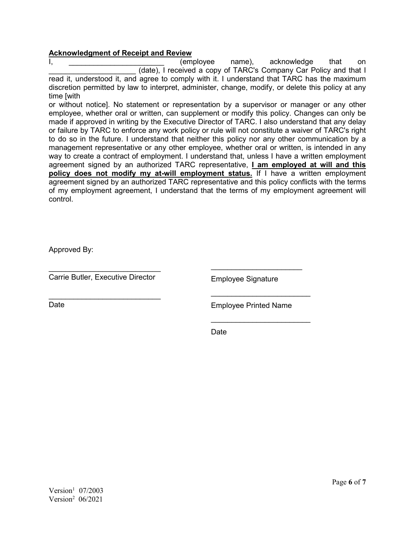#### **Acknowledgment of Receipt and Review**

I, the control of the control (employee name), acknowledge that on (date), I received a copy of TARC's Company Car Policy and that I read it, understood it, and agree to comply with it. I understand that TARC has the maximum discretion permitted by law to interpret, administer, change, modify, or delete this policy at any time [with

or without notice]. No statement or representation by a supervisor or manager or any other employee, whether oral or written, can supplement or modify this policy. Changes can only be made if approved in writing by the Executive Director of TARC. I also understand that any delay or failure by TARC to enforce any work policy or rule will not constitute a waiver of TARC's right to do so in the future. I understand that neither this policy nor any other communication by a management representative or any other employee, whether oral or written, is intended in any way to create a contract of employment. I understand that, unless I have a written employment agreement signed by an authorized TARC representative, **I am employed at will and this policy does not modify my at-will employment status.** If I have a written employment agreement signed by an authorized TARC representative and this policy conflicts with the terms of my employment agreement, I understand that the terms of my employment agreement will control.

Approved By:

 $\overline{\phantom{a}}$  , where  $\overline{\phantom{a}}$  , where  $\overline{\phantom{a}}$  , where  $\overline{\phantom{a}}$ Carrie Butler, Executive Director

Employee Signature

 $\overline{\phantom{a}}$  , where  $\overline{\phantom{a}}$  , where  $\overline{\phantom{a}}$  , where  $\overline{\phantom{a}}$ Date

Employee Printed Name

 $\frac{1}{2}$  , and the set of the set of the set of the set of the set of the set of the set of the set of the set of the set of the set of the set of the set of the set of the set of the set of the set of the set of the set

 $\frac{1}{2}$  , and the set of the set of the set of the set of the set of the set of the set of the set of the set of the set of the set of the set of the set of the set of the set of the set of the set of the set of the set

 $\frac{1}{2}$  , and the set of the set of the set of the set of the set of the set of the set of the set of the set of the set of the set of the set of the set of the set of the set of the set of the set of the set of the set

Date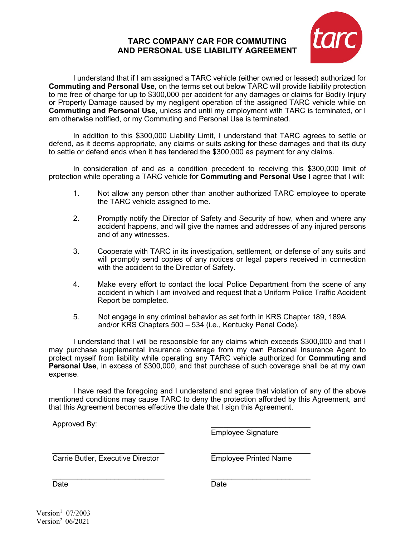## **TARC COMPANY CAR FOR COMMUTING AND PERSONAL USE LIABILITY AGREEMENT**



I understand that if I am assigned a TARC vehicle (either owned or leased) authorized for **Commuting and Personal Use**, on the terms set out below TARC will provide liability protection to me free of charge for up to \$300,000 per accident for any damages or claims for Bodily Injury or Property Damage caused by my negligent operation of the assigned TARC vehicle while on **Commuting and Personal Use**, unless and until my employment with TARC is terminated, or I am otherwise notified, or my Commuting and Personal Use is terminated.

In addition to this \$300,000 Liability Limit, I understand that TARC agrees to settle or defend, as it deems appropriate, any claims or suits asking for these damages and that its duty to settle or defend ends when it has tendered the \$300,000 as payment for any claims.

In consideration of and as a condition precedent to receiving this \$300,000 limit of protection while operating a TARC vehicle for **Commuting and Personal Use** I agree that I will:

- 1. Not allow any person other than another authorized TARC employee to operate the TARC vehicle assigned to me.
- 2. Promptly notify the Director of Safety and Security of how, when and where any accident happens, and will give the names and addresses of any injured persons and of any witnesses.
- 3. Cooperate with TARC in its investigation, settlement, or defense of any suits and will promptly send copies of any notices or legal papers received in connection with the accident to the Director of Safety.
- 4. Make every effort to contact the local Police Department from the scene of any accident in which I am involved and request that a Uniform Police Traffic Accident Report be completed.
- 5. Not engage in any criminal behavior as set forth in KRS Chapter 189, 189A and/or KRS Chapters 500 – 534 (i.e., Kentucky Penal Code).

I understand that I will be responsible for any claims which exceeds \$300,000 and that I may purchase supplemental insurance coverage from my own Personal Insurance Agent to protect myself from liability while operating any TARC vehicle authorized for **Commuting and Personal Use**, in excess of \$300,000, and that purchase of such coverage shall be at my own expense.

I have read the foregoing and I understand and agree that violation of any of the above mentioned conditions may cause TARC to deny the protection afforded by this Agreement, and that this Agreement becomes effective the date that I sign this Agreement.

Approved By:

 $\overline{\phantom{a}}$  , which is a set of the set of the set of the set of the set of the set of the set of the set of the set of the set of the set of the set of the set of the set of the set of the set of the set of the set of th Employee Signature

\_\_\_\_\_\_\_\_\_\_\_\_\_\_\_\_\_\_\_\_\_\_\_\_\_\_\_ Carrie Butler, Executive Director

\_\_\_\_\_\_\_\_\_\_\_\_\_\_\_\_\_\_\_\_\_\_\_\_\_\_\_

Employee Printed Name

 $\overline{\phantom{a}}$  , which is a set of the set of the set of the set of the set of the set of the set of the set of the set of the set of the set of the set of the set of the set of the set of the set of the set of the set of th

\_\_\_\_\_\_\_\_\_\_\_\_\_\_\_\_\_\_\_\_\_\_\_\_

Date

Date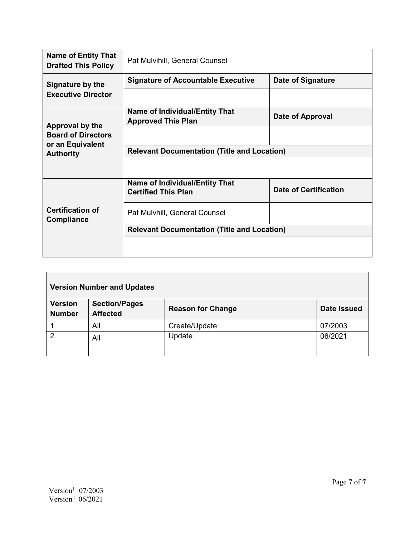| <b>Name of Entity That</b><br><b>Drafted This Policy</b>                             | Pat Mulvihill, General Counsel                                      |                              |
|--------------------------------------------------------------------------------------|---------------------------------------------------------------------|------------------------------|
| Signature by the<br><b>Executive Director</b>                                        | <b>Signature of Accountable Executive</b>                           | Date of Signature            |
|                                                                                      |                                                                     |                              |
| Approval by the<br><b>Board of Directors</b><br>or an Equivalent<br><b>Authority</b> | <b>Name of Individual/Entity That</b><br><b>Approved This Plan</b>  | Date of Approval             |
|                                                                                      |                                                                     |                              |
|                                                                                      | <b>Relevant Documentation (Title and Location)</b>                  |                              |
|                                                                                      |                                                                     |                              |
| <b>Certification of</b><br><b>Compliance</b>                                         | <b>Name of Individual/Entity That</b><br><b>Certified This Plan</b> | <b>Date of Certification</b> |
|                                                                                      | Pat Mulvhill, General Counsel                                       |                              |
|                                                                                      | <b>Relevant Documentation (Title and Location)</b>                  |                              |
|                                                                                      |                                                                     |                              |

| <b>Version Number and Updates</b> |                                         |                          |                    |
|-----------------------------------|-----------------------------------------|--------------------------|--------------------|
| <b>Version</b><br><b>Number</b>   | <b>Section/Pages</b><br><b>Affected</b> | <b>Reason for Change</b> | <b>Date Issued</b> |
|                                   | All                                     | Create/Update            | 07/2003            |
| っ                                 | All                                     | Update                   | 06/2021            |
|                                   |                                         |                          |                    |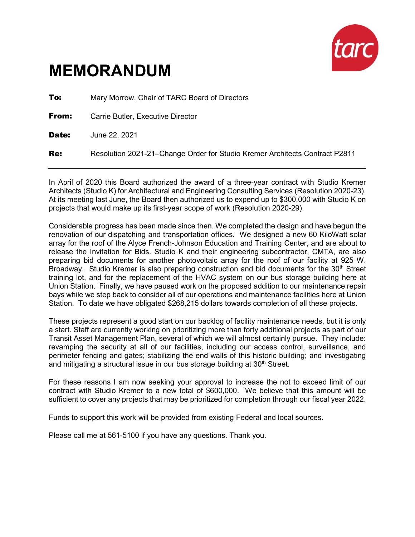

# **MEMORANDUM**

| To:   | Mary Morrow, Chair of TARC Board of Directors                               |
|-------|-----------------------------------------------------------------------------|
| From: | Carrie Butler, Executive Director                                           |
| Date: | June 22, 2021                                                               |
| Re:   | Resolution 2021-21-Change Order for Studio Kremer Architects Contract P2811 |

In April of 2020 this Board authorized the award of a three-year contract with Studio Kremer Architects (Studio K) for Architectural and Engineering Consulting Services (Resolution 2020-23). At its meeting last June, the Board then authorized us to expend up to \$300,000 with Studio K on projects that would make up its first-year scope of work (Resolution 2020-29).

Considerable progress has been made since then. We completed the design and have begun the renovation of our dispatching and transportation offices. We designed a new 60 KiloWatt solar array for the roof of the Alyce French-Johnson Education and Training Center, and are about to release the Invitation for Bids. Studio K and their engineering subcontractor, CMTA, are also preparing bid documents for another photovoltaic array for the roof of our facility at 925 W. Broadway. Studio Kremer is also preparing construction and bid documents for the  $30<sup>th</sup>$  Street training lot, and for the replacement of the HVAC system on our bus storage building here at Union Station. Finally, we have paused work on the proposed addition to our maintenance repair bays while we step back to consider all of our operations and maintenance facilities here at Union Station. To date we have obligated \$268,215 dollars towards completion of all these projects.

These projects represent a good start on our backlog of facility maintenance needs, but it is only a start. Staff are currently working on prioritizing more than forty additional projects as part of our Transit Asset Management Plan, several of which we will almost certainly pursue. They include: revamping the security at all of our facilities, including our access control, surveillance, and perimeter fencing and gates; stabilizing the end walls of this historic building; and investigating and mitigating a structural issue in our bus storage building at  $30<sup>th</sup>$  Street.

For these reasons I am now seeking your approval to increase the not to exceed limit of our contract with Studio Kremer to a new total of \$600,000. We believe that this amount will be sufficient to cover any projects that may be prioritized for completion through our fiscal year 2022.

Funds to support this work will be provided from existing Federal and local sources.

Please call me at 561-5100 if you have any questions. Thank you.